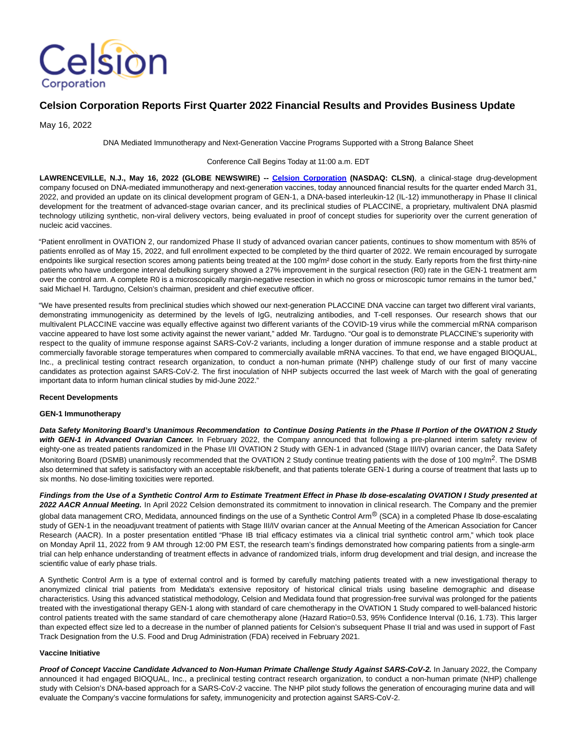

# **Celsion Corporation Reports First Quarter 2022 Financial Results and Provides Business Update**

May 16, 2022

DNA Mediated Immunotherapy and Next-Generation Vaccine Programs Supported with a Strong Balance Sheet

#### Conference Call Begins Today at 11:00 a.m. EDT

**LAWRENCEVILLE, N.J., May 16, 2022 (GLOBE NEWSWIRE) -- [Celsion Corporation](https://www.globenewswire.com/Tracker?data=NzcRlte_3iq8bGgPXscPvBfFDTlHZS7LLL1oMetvbpsLQi9xR2LLq4JoZVs0QFwVS88lfW5btehH5AnOj28MhA==) (NASDAQ: CLSN)**, a clinical-stage drug-development company focused on DNA-mediated immunotherapy and next-generation vaccines, today announced financial results for the quarter ended March 31, 2022, and provided an update on its clinical development program of GEN-1, a DNA-based interleukin-12 (IL-12) immunotherapy in Phase II clinical development for the treatment of advanced-stage ovarian cancer, and its preclinical studies of PLACCINE, a proprietary, multivalent DNA plasmid technology utilizing synthetic, non-viral delivery vectors, being evaluated in proof of concept studies for superiority over the current generation of nucleic acid vaccines.

"Patient enrollment in OVATION 2, our randomized Phase II study of advanced ovarian cancer patients, continues to show momentum with 85% of patients enrolled as of May 15, 2022, and full enrollment expected to be completed by the third quarter of 2022. We remain encouraged by surrogate endpoints like surgical resection scores among patients being treated at the 100 mg/m<sup>2</sup> dose cohort in the study. Early reports from the first thirty-nine patients who have undergone interval debulking surgery showed a 27% improvement in the surgical resection (R0) rate in the GEN-1 treatment arm over the control arm. A complete R0 is a microscopically margin-negative resection in which no gross or microscopic tumor remains in the tumor bed," said Michael H. Tardugno, Celsion's chairman, president and chief executive officer.

"We have presented results from preclinical studies which showed our next-generation PLACCINE DNA vaccine can target two different viral variants, demonstrating immunogenicity as determined by the levels of IgG, neutralizing antibodies, and T-cell responses. Our research shows that our multivalent PLACCINE vaccine was equally effective against two different variants of the COVID-19 virus while the commercial mRNA comparison vaccine appeared to have lost some activity against the newer variant," added Mr. Tardugno. "Our goal is to demonstrate PLACCINE's superiority with respect to the quality of immune response against SARS-CoV-2 variants, including a longer duration of immune response and a stable product at commercially favorable storage temperatures when compared to commercially available mRNA vaccines. To that end, we have engaged BIOQUAL, Inc., a preclinical testing contract research organization, to conduct a non-human primate (NHP) challenge study of our first of many vaccine candidates as protection against SARS-CoV-2. The first inoculation of NHP subjects occurred the last week of March with the goal of generating important data to inform human clinical studies by mid-June 2022."

#### **Recent Developments**

#### **GEN-1 Immunotherapy**

**Data Safety Monitoring Board's Unanimous Recommendation to Continue Dosing Patients in the Phase II Portion of the OVATION 2 Study with GEN-1 in Advanced Ovarian Cancer.** In February 2022, the Company announced that following a pre-planned interim safety review of eighty-one as treated patients randomized in the Phase I/II OVATION 2 Study with GEN-1 in advanced (Stage III/IV) ovarian cancer, the Data Safety Monitoring Board (DSMB) unanimously recommended that the OVATION 2 Study continue treating patients with the dose of 100 mg/m<sup>2</sup>. The DSMB also determined that safety is satisfactory with an acceptable risk/benefit, and that patients tolerate GEN-1 during a course of treatment that lasts up to six months. No dose-limiting toxicities were reported.

**Findings from the Use of a Synthetic Control Arm to Estimate Treatment Effect in Phase Ib dose-escalating OVATION I Study presented at 2022 AACR Annual Meeting.** In April 2022 Celsion demonstrated its commitment to innovation in clinical research. The Company and the premier

global data management CRO, Medidata, announced findings on the use of a Synthetic Control Arm<sup>®</sup> (SCA) in a completed Phase Ib dose-escalating study of GEN-1 in the neoadjuvant treatment of patients with Stage III/IV ovarian cancer at the Annual Meeting of the American Association for Cancer Research (AACR). In a poster presentation entitled "Phase IB trial efficacy estimates via a clinical trial synthetic control arm," which took place on Monday April 11, 2022 from 9 AM through 12:00 PM EST, the research team's findings demonstrated how comparing patients from a single-arm trial can help enhance understanding of treatment effects in advance of randomized trials, inform drug development and trial design, and increase the scientific value of early phase trials.

A Synthetic Control Arm is a type of external control and is formed by carefully matching patients treated with a new investigational therapy to anonymized clinical trial patients from Medidata's extensive repository of historical clinical trials using baseline demographic and disease characteristics. Using this advanced statistical methodology, Celsion and Medidata found that progression-free survival was prolonged for the patients treated with the investigational therapy GEN-1 along with standard of care chemotherapy in the OVATION 1 Study compared to well-balanced historic control patients treated with the same standard of care chemotherapy alone (Hazard Ratio=0.53, 95% Confidence Interval (0.16, 1.73). This larger than expected effect size led to a decrease in the number of planned patients for Celsion's subsequent Phase II trial and was used in support of Fast Track Designation from the U.S. Food and Drug Administration (FDA) received in February 2021.

#### **Vaccine Initiative**

**Proof of Concept Vaccine Candidate Advanced to Non-Human Primate Challenge Study Against SARS-CoV-2.** In January 2022, the Company announced it had engaged BIOQUAL, Inc., a preclinical testing contract research organization, to conduct a non-human primate (NHP) challenge study with Celsion's DNA-based approach for a SARS-CoV-2 vaccine. The NHP pilot study follows the generation of encouraging murine data and will evaluate the Company's vaccine formulations for safety, immunogenicity and protection against SARS-CoV-2.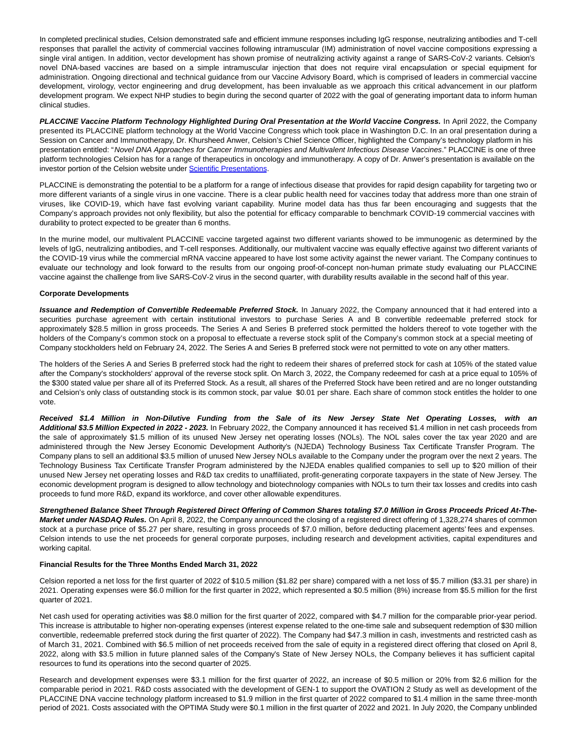In completed preclinical studies, Celsion demonstrated safe and efficient immune responses including IgG response, neutralizing antibodies and T-cell responses that parallel the activity of commercial vaccines following intramuscular (IM) administration of novel vaccine compositions expressing a single viral antigen. In addition, vector development has shown promise of neutralizing activity against a range of SARS-CoV-2 variants. Celsion's novel DNA-based vaccines are based on a simple intramuscular injection that does not require viral encapsulation or special equipment for administration. Ongoing directional and technical guidance from our Vaccine Advisory Board, which is comprised of leaders in commercial vaccine development, virology, vector engineering and drug development, has been invaluable as we approach this critical advancement in our platform development program. We expect NHP studies to begin during the second quarter of 2022 with the goal of generating important data to inform human clinical studies.

**PLACCINE Vaccine Platform Technology Highlighted During Oral Presentation at the World Vaccine Congress.** In April 2022, the Company presented its PLACCINE platform technology at the World Vaccine Congress which took place in Washington D.C. In an oral presentation during a Session on Cancer and Immunotherapy, Dr. Khursheed Anwer, Celsion's Chief Science Officer, highlighted the Company's technology platform in his presentation entitled: "Novel DNA Approaches for Cancer Immunotherapies and Multivalent Infectious Disease Vaccines." PLACCINE is one of three platform technologies Celsion has for a range of therapeutics in oncology and immunotherapy. A copy of Dr. Anwer's presentation is available on the investor portion of the Celsion website under [Scientific Presentations.](https://www.globenewswire.com/Tracker?data=LACLeVsehllaQ2T8yPQYACou0ad6uSTWASY78CGwUa-1wlcr6sw09fO3UYqMKvwOjRZvUFUfIO29DEiyTWjpEp_KAuSwdIWok2bPWPchzj0cCG37b_EJIxLa4uUTKaD3B-Dalvdygh5FNjEcTgMbinI3jJaWta8rpzxbzua8aV8a_THUJ0Uob8yXfk6i8x9oPhGupYM0_Uqk9mDPJn023nzBu7FLvORMHDGX5asRuaCHatU-aYavGS6zPvmNGHEyRh2nUHHjmUb3r8ddBe_IwmMdr-Inf1wfh6XG4eGTusN9I8_ExkuSDZby2i4JtkVrWX_VWyjmpsfb7pqrWyulUQ==)

PLACCINE is demonstrating the potential to be a platform for a range of infectious disease that provides for rapid design capability for targeting two or more different variants of a single virus in one vaccine. There is a clear public health need for vaccines today that address more than one strain of viruses, like COVID-19, which have fast evolving variant capability. Murine model data has thus far been encouraging and suggests that the Company's approach provides not only flexibility, but also the potential for efficacy comparable to benchmark COVID-19 commercial vaccines with durability to protect expected to be greater than 6 months.

In the murine model, our multivalent PLACCINE vaccine targeted against two different variants showed to be immunogenic as determined by the levels of IgG, neutralizing antibodies, and T-cell responses. Additionally, our multivalent vaccine was equally effective against two different variants of the COVID-19 virus while the commercial mRNA vaccine appeared to have lost some activity against the newer variant. The Company continues to evaluate our technology and look forward to the results from our ongoing proof-of-concept non-human primate study evaluating our PLACCINE vaccine against the challenge from live SARS-CoV-2 virus in the second quarter, with durability results available in the second half of this year.

#### **Corporate Developments**

**Issuance and Redemption of Convertible Redeemable Preferred Stock.** In January 2022, the Company announced that it had entered into a securities purchase agreement with certain institutional investors to purchase Series A and B convertible redeemable preferred stock for approximately \$28.5 million in gross proceeds. The Series A and Series B preferred stock permitted the holders thereof to vote together with the holders of the Company's common stock on a proposal to effectuate a reverse stock split of the Company's common stock at a special meeting of Company stockholders held on February 24, 2022. The Series A and Series B preferred stock were not permitted to vote on any other matters.

The holders of the Series A and Series B preferred stock had the right to redeem their shares of preferred stock for cash at 105% of the stated value after the Company's stockholders' approval of the reverse stock split. On March 3, 2022, the Company redeemed for cash at a price equal to 105% of the \$300 stated value per share all of its Preferred Stock. As a result, all shares of the Preferred Stock have been retired and are no longer outstanding and Celsion's only class of outstanding stock is its common stock, par value \$0.01 per share. Each share of common stock entitles the holder to one vote.

**Received \$1.4 Million in Non-Dilutive Funding from the Sale of its New Jersey State Net Operating Losses, with an Additional \$3.5 Million Expected in 2022 - 2023.** In February 2022, the Company announced it has received \$1.4 million in net cash proceeds from the sale of approximately \$1.5 million of its unused New Jersey net operating losses (NOLs). The NOL sales cover the tax year 2020 and are administered through the New Jersey Economic Development Authority's (NJEDA) Technology Business Tax Certificate Transfer Program. The Company plans to sell an additional \$3.5 million of unused New Jersey NOLs available to the Company under the program over the next 2 years. The Technology Business Tax Certificate Transfer Program administered by the NJEDA enables qualified companies to sell up to \$20 million of their unused New Jersey net operating losses and R&D tax credits to unaffiliated, profit-generating corporate taxpayers in the state of New Jersey. The economic development program is designed to allow technology and biotechnology companies with NOLs to turn their tax losses and credits into cash proceeds to fund more R&D, expand its workforce, and cover other allowable expenditures.

**Strengthened Balance Sheet Through Registered Direct Offering of Common Shares totaling \$7.0 Million in Gross Proceeds Priced At-The-Market under NASDAQ Rules.** On April 8, 2022, the Company announced the closing of a registered direct offering of 1,328,274 shares of common stock at a purchase price of \$5.27 per share, resulting in gross proceeds of \$7.0 million, before deducting placement agents' fees and expenses. Celsion intends to use the net proceeds for general corporate purposes, including research and development activities, capital expenditures and working capital.

#### **Financial Results for the Three Months Ended March 31, 2022**

Celsion reported a net loss for the first quarter of 2022 of \$10.5 million (\$1.82 per share) compared with a net loss of \$5.7 million (\$3.31 per share) in 2021. Operating expenses were \$6.0 million for the first quarter in 2022, which represented a \$0.5 million (8%) increase from \$5.5 million for the first quarter of 2021.

Net cash used for operating activities was \$8.0 million for the first quarter of 2022, compared with \$4.7 million for the comparable prior-year period. This increase is attributable to higher non-operating expenses (interest expense related to the one-time sale and subsequent redemption of \$30 million convertible, redeemable preferred stock during the first quarter of 2022). The Company had \$47.3 million in cash, investments and restricted cash as of March 31, 2021. Combined with \$6.5 million of net proceeds received from the sale of equity in a registered direct offering that closed on April 8, 2022, along with \$3.5 million in future planned sales of the Company's State of New Jersey NOLs, the Company believes it has sufficient capital resources to fund its operations into the second quarter of 2025.

Research and development expenses were \$3.1 million for the first quarter of 2022, an increase of \$0.5 million or 20% from \$2.6 million for the comparable period in 2021. R&D costs associated with the development of GEN-1 to support the OVATION 2 Study as well as development of the PLACCINE DNA vaccine technology platform increased to \$1.9 million in the first quarter of 2022 compared to \$1.4 million in the same three-month period of 2021. Costs associated with the OPTIMA Study were \$0.1 million in the first quarter of 2022 and 2021. In July 2020, the Company unblinded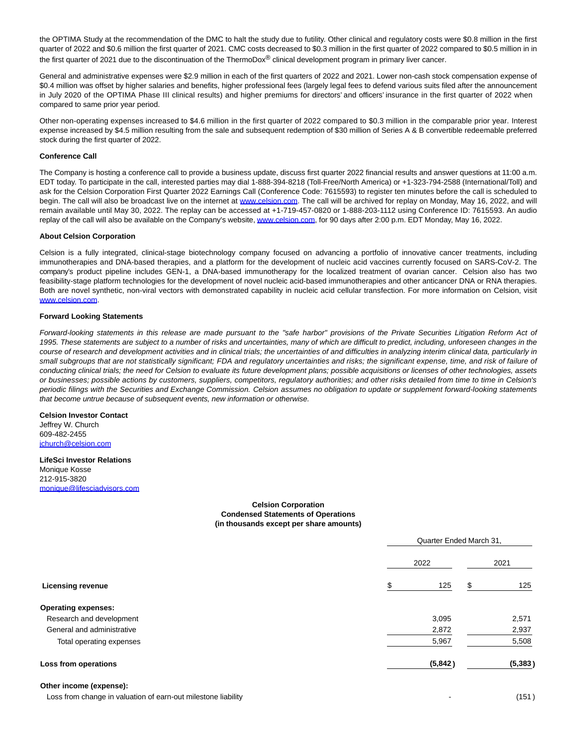the OPTIMA Study at the recommendation of the DMC to halt the study due to futility. Other clinical and regulatory costs were \$0.8 million in the first quarter of 2022 and \$0.6 million the first quarter of 2021. CMC costs decreased to \$0.3 million in the first quarter of 2022 compared to \$0.5 million in in the first quarter of 2021 due to the discontinuation of the ThermoDox® clinical development program in primary liver cancer.

General and administrative expenses were \$2.9 million in each of the first quarters of 2022 and 2021. Lower non-cash stock compensation expense of \$0.4 million was offset by higher salaries and benefits, higher professional fees (largely legal fees to defend various suits filed after the announcement in July 2020 of the OPTIMA Phase III clinical results) and higher premiums for directors' and officers' insurance in the first quarter of 2022 when compared to same prior year period.

Other non-operating expenses increased to \$4.6 million in the first quarter of 2022 compared to \$0.3 million in the comparable prior year. Interest expense increased by \$4.5 million resulting from the sale and subsequent redemption of \$30 million of Series A & B convertible redeemable preferred stock during the first quarter of 2022.

#### **Conference Call**

The Company is hosting a conference call to provide a business update, discuss first quarter 2022 financial results and answer questions at 11:00 a.m. EDT today. To participate in the call, interested parties may dial 1-888-394-8218 (Toll-Free/North America) or +1-323-794-2588 (International/Toll) and ask for the Celsion Corporation First Quarter 2022 Earnings Call (Conference Code: 7615593) to register ten minutes before the call is scheduled to begin. The call will also be broadcast live on the internet at [www.celsion.com.](https://www.globenewswire.com/Tracker?data=jjSypEnO2A8OsUTwOluXelUGVLCTR8N0atHEJqRP7Oqx_g9WJAaFzUMSmyICHCie-FcqmDwhA80L-CgPhFquXAmKES1BAuWbs5fwQxBhnEULTDtat_wfIl8yt1S2S83aTAMS7FTiJXret6zqtliRTPmncyY8bZiJPtmXDEQxaP2xFk1ddsq9xrdVUsY5CoaerUyoCnfIUygPDJNF5ZtbICpcRH8t--55nIhh6crXQ5w=) The call will be archived for replay on Monday, May 16, 2022, and will remain available until May 30, 2022. The replay can be accessed at +1-719-457-0820 or 1-888-203-1112 using Conference ID: 7615593. An audio replay of the call will also be available on the Company's website[, www.celsion.com,](https://www.globenewswire.com/Tracker?data=jjSypEnO2A8OsUTwOluXesaMQkfipzK5KS2jKW7vcN1cbc4FcdVp2ikxPZrjRX6yGcZYiEofdVQzsFNjE7-iLeQTxitfdR2RhN5G1bOZXrVHq8eNJq-XdzpDQLG7HGMMjnAgvi6Nb-whqZs8VyJzd6fur9qHzxDfWayV28XoKtKwRisXq3XV4s3HvWVizHLSit3W0SvpvmAZtDOqjROjTYMymnuSuXZui0NsznHvsAg=) for 90 days after 2:00 p.m. EDT Monday, May 16, 2022.

#### **About Celsion Corporation**

Celsion is a fully integrated, clinical-stage biotechnology company focused on advancing a portfolio of innovative cancer treatments, including immunotherapies and DNA-based therapies, and a platform for the development of nucleic acid vaccines currently focused on SARS-CoV-2. The company's product pipeline includes GEN-1, a DNA-based immunotherapy for the localized treatment of ovarian cancer. Celsion also has two feasibility-stage platform technologies for the development of novel nucleic acid-based immunotherapies and other anticancer DNA or RNA therapies. Both are novel synthetic, non-viral vectors with demonstrated capability in nucleic acid cellular transfection. For more information on Celsion, visit [www.celsion.com.](https://www.globenewswire.com/Tracker?data=jjSypEnO2A8OsUTwOluXevMssGR76Fdtq7K29jlpW_BHAbzU_0yOktZiW7UmQZmomsRYTUwSWF1u03O_kuTTgXIUmUYTm9BtyEtLEYtlQ8GhewPzakTMdR1UPIkMV6oCjs8PsJxAL0KHaQemxCQd7i3L5K_d8rTkUP3LiD1r7ir8En81gAhKwp8k82bGSA8Wz27A3Z9HBN0GqbGUjKFQzyWydm6CZkMxBxLEmdKx1Hg=)

### **Forward Looking Statements**

Forward-looking statements in this release are made pursuant to the "safe harbor" provisions of the Private Securities Litigation Reform Act of 1995. These statements are subject to a number of risks and uncertainties, many of which are difficult to predict, including, unforeseen changes in the course of research and development activities and in clinical trials; the uncertainties of and difficulties in analyzing interim clinical data, particularly in small subgroups that are not statistically significant; FDA and regulatory uncertainties and risks; the significant expense, time, and risk of failure of conducting clinical trials; the need for Celsion to evaluate its future development plans; possible acquisitions or licenses of other technologies, assets or businesses; possible actions by customers, suppliers, competitors, regulatory authorities; and other risks detailed from time to time in Celsion's periodic filings with the Securities and Exchange Commission. Celsion assumes no obligation to update or supplement forward-looking statements that become untrue because of subsequent events, new information or otherwise.

## **Celsion Investor Contact**

Jeffrey W. Church 609-482-2455 [jchurch@celsion.com](https://www.globenewswire.com/Tracker?data=CErJbUrurvVedyddHSY-_mDN9NzOR9Lph0c6c9UHAYtJSGfnQmS0qoooMRtIKRiCqBsgcYFxO4Y4ulOvnsF7WPYx8hDO0uFNhxOt1v4f6Lw=)

## **LifeSci Investor Relations**

Monique Kosse 212-915-3820 [monique@lifesciadvisors.com](https://www.globenewswire.com/Tracker?data=sXFk_dXsnneV7vwF4V7_UWH24IyJo6kfc56_gqFuH6uBPD09BsfVfxCOeode5tfoIM-psovLJvJE6Wnq31pYlZ1mTR1XiJ81vEePZrKkJFgITf2OhJoWfCpHE2oeycdh)

## **Celsion Corporation Condensed Statements of Operations (in thousands except per share amounts)**

|                            |         | Quarter Ended March 31, |  |  |
|----------------------------|---------|-------------------------|--|--|
|                            | 2022    | 2021                    |  |  |
| <b>Licensing revenue</b>   | \$      | 125<br>125<br>\$        |  |  |
| <b>Operating expenses:</b> |         |                         |  |  |
| Research and development   | 3,095   | 2,571                   |  |  |
| General and administrative | 2,872   | 2,937                   |  |  |
| Total operating expenses   | 5,967   | 5,508                   |  |  |
| Loss from operations       | (5,842) | (5, 383)                |  |  |

#### **Other income (expense):**

Loss from change in valuation of earn-out milestone liability developed and the control of the control of the control of the control of the control of the control of the control of the control of the control of the control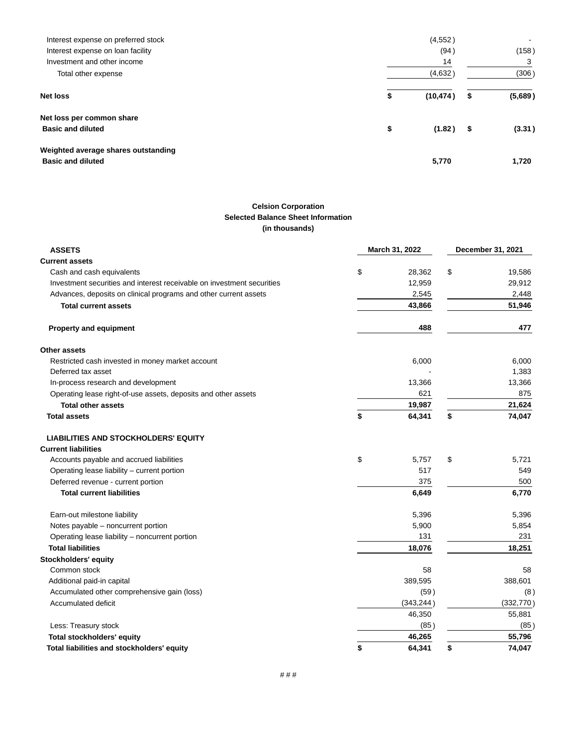| Interest expense on preferred stock                             | (4,552)         |               |
|-----------------------------------------------------------------|-----------------|---------------|
| Interest expense on loan facility                               | (94)            | (158)         |
| Investment and other income                                     | 14              | 3             |
| Total other expense                                             | (4,632)         | (306)         |
| <b>Net loss</b>                                                 | (10, 474)<br>\$ | \$<br>(5,689) |
| Net loss per common share                                       |                 |               |
| <b>Basic and diluted</b>                                        | \$<br>(1.82)    | \$<br>(3.31)  |
| Weighted average shares outstanding<br><b>Basic and diluted</b> | 5,770           | 1,720         |

## **Celsion Corporation Selected Balance Sheet Information (in thousands)**

| <b>ASSETS</b>                                                          | March 31, 2022 |            | December 31, 2021 |
|------------------------------------------------------------------------|----------------|------------|-------------------|
| <b>Current assets</b>                                                  |                |            |                   |
| Cash and cash equivalents                                              | \$             | 28,362     | \$<br>19,586      |
| Investment securities and interest receivable on investment securities |                | 12,959     | 29,912            |
| Advances, deposits on clinical programs and other current assets       |                | 2,545      | 2,448             |
| <b>Total current assets</b>                                            |                | 43,866     | 51,946            |
| <b>Property and equipment</b>                                          |                | 488        | 477               |
| Other assets                                                           |                |            |                   |
| Restricted cash invested in money market account                       |                | 6,000      | 6,000             |
| Deferred tax asset                                                     |                |            | 1,383             |
| In-process research and development                                    |                | 13,366     | 13,366            |
| Operating lease right-of-use assets, deposits and other assets         |                | 621        | 875               |
| <b>Total other assets</b>                                              |                | 19,987     | 21,624            |
| <b>Total assets</b>                                                    | \$             | 64,341     | \$<br>74,047      |
| <b>LIABILITIES AND STOCKHOLDERS' EQUITY</b>                            |                |            |                   |
| <b>Current liabilities</b>                                             |                |            |                   |
| Accounts payable and accrued liabilities                               | \$             | 5.757      | \$<br>5.721       |
| Operating lease liability - current portion                            |                | 517        | 549               |
| Deferred revenue - current portion                                     |                | 500        |                   |
| <b>Total current liabilities</b>                                       |                | 6,649      | 6,770             |
| Earn-out milestone liability                                           |                | 5,396      | 5,396             |
| Notes payable - noncurrent portion                                     |                | 5,900      | 5,854             |
| Operating lease liability - noncurrent portion                         |                | 131        | 231               |
| <b>Total liabilities</b>                                               |                | 18,076     | 18,251            |
| Stockholders' equity                                                   |                |            |                   |
| Common stock                                                           |                | 58         | 58                |
| Additional paid-in capital                                             |                | 388,601    |                   |
| Accumulated other comprehensive gain (loss)                            |                | (59)       | (8)               |
| Accumulated deficit                                                    |                | (343, 244) | (332, 770)        |
|                                                                        |                | 46,350     | 55,881            |
| Less: Treasury stock                                                   |                | (85)       | (85)              |
| <b>Total stockholders' equity</b>                                      |                | 46,265     | 55,796            |
| Total liabilities and stockholders' equity                             | \$             | 64,341     | \$<br>74,047      |